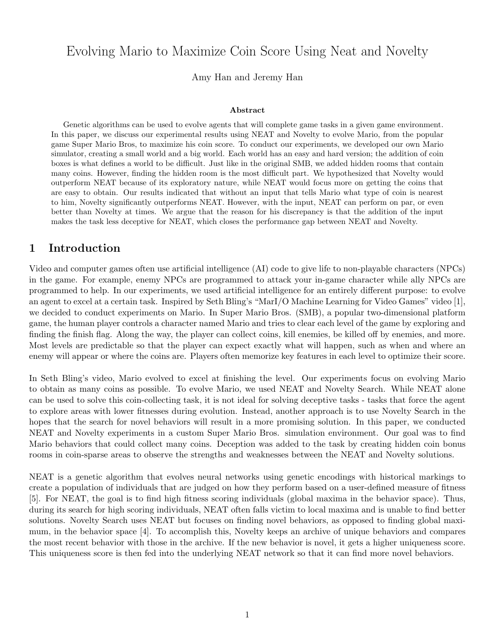# Evolving Mario to Maximize Coin Score Using Neat and Novelty

Amy Han and Jeremy Han

#### Abstract

Genetic algorithms can be used to evolve agents that will complete game tasks in a given game environment. In this paper, we discuss our experimental results using NEAT and Novelty to evolve Mario, from the popular game Super Mario Bros, to maximize his coin score. To conduct our experiments, we developed our own Mario simulator, creating a small world and a big world. Each world has an easy and hard version; the addition of coin boxes is what defines a world to be difficult. Just like in the original SMB, we added hidden rooms that contain many coins. However, finding the hidden room is the most difficult part. We hypothesized that Novelty would outperform NEAT because of its exploratory nature, while NEAT would focus more on getting the coins that are easy to obtain. Our results indicated that without an input that tells Mario what type of coin is nearest to him, Novelty significantly outperforms NEAT. However, with the input, NEAT can perform on par, or even better than Novelty at times. We argue that the reason for his discrepancy is that the addition of the input makes the task less deceptive for NEAT, which closes the performance gap between NEAT and Novelty.

### 1 Introduction

Video and computer games often use artificial intelligence (AI) code to give life to non-playable characters (NPCs) in the game. For example, enemy NPCs are programmed to attack your in-game character while ally NPCs are programmed to help. In our experiments, we used artificial intelligence for an entirely different purpose: to evolve an agent to excel at a certain task. Inspired by Seth Bling's "MarI/O Machine Learning for Video Games" video [1], we decided to conduct experiments on Mario. In Super Mario Bros. (SMB), a popular two-dimensional platform game, the human player controls a character named Mario and tries to clear each level of the game by exploring and finding the finish flag. Along the way, the player can collect coins, kill enemies, be killed off by enemies, and more. Most levels are predictable so that the player can expect exactly what will happen, such as when and where an enemy will appear or where the coins are. Players often memorize key features in each level to optimize their score.

In Seth Bling's video, Mario evolved to excel at finishing the level. Our experiments focus on evolving Mario to obtain as many coins as possible. To evolve Mario, we used NEAT and Novelty Search. While NEAT alone can be used to solve this coin-collecting task, it is not ideal for solving deceptive tasks - tasks that force the agent to explore areas with lower fitnesses during evolution. Instead, another approach is to use Novelty Search in the hopes that the search for novel behaviors will result in a more promising solution. In this paper, we conducted NEAT and Novelty experiments in a custom Super Mario Bros. simulation environment. Our goal was to find Mario behaviors that could collect many coins. Deception was added to the task by creating hidden coin bonus rooms in coin-sparse areas to observe the strengths and weaknesses between the NEAT and Novelty solutions.

NEAT is a genetic algorithm that evolves neural networks using genetic encodings with historical markings to create a population of individuals that are judged on how they perform based on a user-defined measure of fitness [5]. For NEAT, the goal is to find high fitness scoring individuals (global maxima in the behavior space). Thus, during its search for high scoring individuals, NEAT often falls victim to local maxima and is unable to find better solutions. Novelty Search uses NEAT but focuses on finding novel behaviors, as opposed to finding global maximum, in the behavior space [4]. To accomplish this, Novelty keeps an archive of unique behaviors and compares the most recent behavior with those in the archive. If the new behavior is novel, it gets a higher uniqueness score. This uniqueness score is then fed into the underlying NEAT network so that it can find more novel behaviors.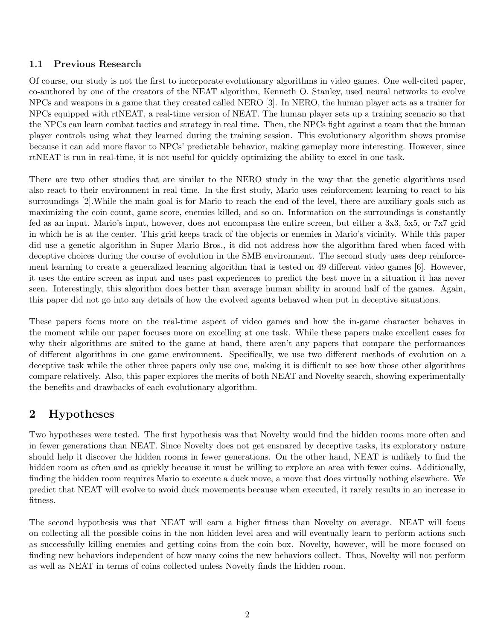#### 1.1 Previous Research

Of course, our study is not the first to incorporate evolutionary algorithms in video games. One well-cited paper, co-authored by one of the creators of the NEAT algorithm, Kenneth O. Stanley, used neural networks to evolve NPCs and weapons in a game that they created called NERO [3]. In NERO, the human player acts as a trainer for NPCs equipped with rtNEAT, a real-time version of NEAT. The human player sets up a training scenario so that the NPCs can learn combat tactics and strategy in real time. Then, the NPCs fight against a team that the human player controls using what they learned during the training session. This evolutionary algorithm shows promise because it can add more flavor to NPCs' predictable behavior, making gameplay more interesting. However, since rtNEAT is run in real-time, it is not useful for quickly optimizing the ability to excel in one task.

There are two other studies that are similar to the NERO study in the way that the genetic algorithms used also react to their environment in real time. In the first study, Mario uses reinforcement learning to react to his surroundings [2].While the main goal is for Mario to reach the end of the level, there are auxiliary goals such as maximizing the coin count, game score, enemies killed, and so on. Information on the surroundings is constantly fed as an input. Mario's input, however, does not encompass the entire screen, but either a 3x3, 5x5, or 7x7 grid in which he is at the center. This grid keeps track of the objects or enemies in Mario's vicinity. While this paper did use a genetic algorithm in Super Mario Bros., it did not address how the algorithm fared when faced with deceptive choices during the course of evolution in the SMB environment. The second study uses deep reinforcement learning to create a generalized learning algorithm that is tested on 49 different video games [6]. However, it uses the entire screen as input and uses past experiences to predict the best move in a situation it has never seen. Interestingly, this algorithm does better than average human ability in around half of the games. Again, this paper did not go into any details of how the evolved agents behaved when put in deceptive situations.

These papers focus more on the real-time aspect of video games and how the in-game character behaves in the moment while our paper focuses more on excelling at one task. While these papers make excellent cases for why their algorithms are suited to the game at hand, there aren't any papers that compare the performances of different algorithms in one game environment. Specifically, we use two different methods of evolution on a deceptive task while the other three papers only use one, making it is difficult to see how those other algorithms compare relatively. Also, this paper explores the merits of both NEAT and Novelty search, showing experimentally the benefits and drawbacks of each evolutionary algorithm.

# 2 Hypotheses

Two hypotheses were tested. The first hypothesis was that Novelty would find the hidden rooms more often and in fewer generations than NEAT. Since Novelty does not get ensnared by deceptive tasks, its exploratory nature should help it discover the hidden rooms in fewer generations. On the other hand, NEAT is unlikely to find the hidden room as often and as quickly because it must be willing to explore an area with fewer coins. Additionally, finding the hidden room requires Mario to execute a duck move, a move that does virtually nothing elsewhere. We predict that NEAT will evolve to avoid duck movements because when executed, it rarely results in an increase in fitness.

The second hypothesis was that NEAT will earn a higher fitness than Novelty on average. NEAT will focus on collecting all the possible coins in the non-hidden level area and will eventually learn to perform actions such as successfully killing enemies and getting coins from the coin box. Novelty, however, will be more focused on finding new behaviors independent of how many coins the new behaviors collect. Thus, Novelty will not perform as well as NEAT in terms of coins collected unless Novelty finds the hidden room.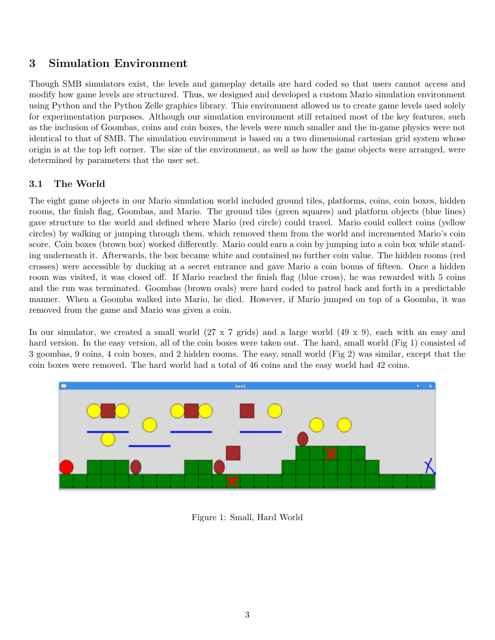# 3 Simulation Environment

Though SMB simulators exist, the levels and gameplay details are hard coded so that users cannot access and modify how game levels are structured. Thus, we designed and developed a custom Mario simulation environment using Python and the Python Zelle graphics library. This environment allowed us to create game levels used solely for experimentation purposes. Although our simulation environment still retained most of the key features, such as the inclusion of Goombas, coins and coin boxes, the levels were much smaller and the in-game physics were not identical to that of SMB. The simulation environment is based on a two dimensional cartesian grid system whose origin is at the top left corner. The size of the environment, as well as how the game objects were arranged, were determined by parameters that the user set.

### 3.1 The World

The eight game objects in our Mario simulation world included ground tiles, platforms, coins, coin boxes, hidden rooms, the finish flag, Goombas, and Mario. The ground tiles (green squares) and platform objects (blue lines) gave structure to the world and defined where Mario (red circle) could travel. Mario could collect coins (yellow circles) by walking or jumping through them, which removed them from the world and incremented Mario's coin score. Coin boxes (brown box) worked differently. Mario could earn a coin by jumping into a coin box while standing underneath it. Afterwards, the box became white and contained no further coin value. The hidden rooms (red crosses) were accessible by ducking at a secret entrance and gave Mario a coin bonus of fifteen. Once a hidden room was visited, it was closed off. If Mario reached the finish flag (blue cross), he was rewarded with 5 coins and the run was terminated. Goombas (brown ovals) were hard coded to patrol back and forth in a predictable manner. When a Goomba walked into Mario, he died. However, if Mario jumped on top of a Goomba, it was removed from the game and Mario was given a coin.

In our simulator, we created a small world (27 x 7 grids) and a large world (49 x 9), each with an easy and hard version. In the easy version, all of the coin boxes were taken out. The hard, small world (Fig 1) consisted of 3 goombas, 9 coins, 4 coin boxes, and 2 hidden rooms. The easy, small world (Fig 2) was similar, except that the coin boxes were removed. The hard world had a total of 46 coins and the easy world had 42 coins.



Figure 1: Small, Hard World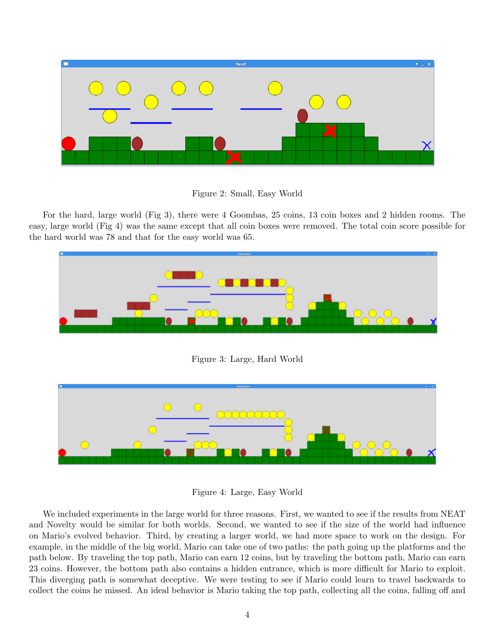

Figure 2: Small, Easy World

For the hard, large world (Fig 3), there were 4 Goombas, 25 coins, 13 coin boxes and 2 hidden rooms. The easy, large world (Fig 4) was the same except that all coin boxes were removed. The total coin score possible for the hard world was 78 and that for the easy world was 65.



Figure 4: Large, Easy World

We included experiments in the large world for three reasons. First, we wanted to see if the results from NEAT and Novelty would be similar for both worlds. Second, we wanted to see if the size of the world had influence on Mario's evolved behavior. Third, by creating a larger world, we had more space to work on the design. For example, in the middle of the big world, Mario can take one of two paths: the path going up the platforms and the path below. By traveling the top path, Mario can earn 12 coins, but by traveling the bottom path, Mario can earn 23 coins. However, the bottom path also contains a hidden entrance, which is more difficult for Mario to exploit. This diverging path is somewhat deceptive. We were testing to see if Mario could learn to travel backwards to collect the coins he missed. An ideal behavior is Mario taking the top path, collecting all the coins, falling off and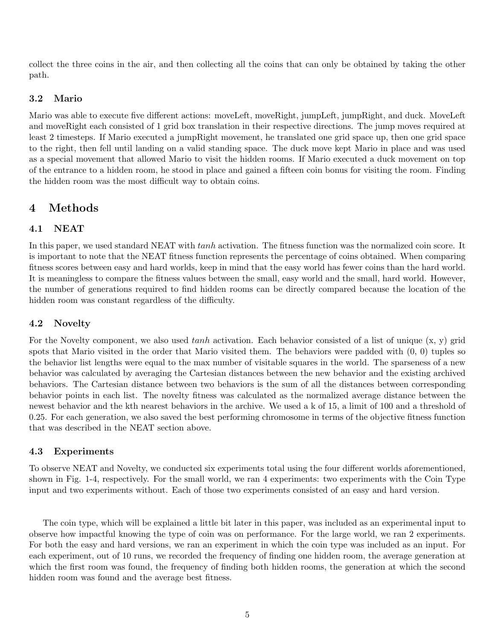collect the three coins in the air, and then collecting all the coins that can only be obtained by taking the other path.

#### 3.2 Mario

Mario was able to execute five different actions: moveLeft, moveRight, jumpLeft, jumpRight, and duck. MoveLeft and moveRight each consisted of 1 grid box translation in their respective directions. The jump moves required at least 2 timesteps. If Mario executed a jumpRight movement, he translated one grid space up, then one grid space to the right, then fell until landing on a valid standing space. The duck move kept Mario in place and was used as a special movement that allowed Mario to visit the hidden rooms. If Mario executed a duck movement on top of the entrance to a hidden room, he stood in place and gained a fifteen coin bonus for visiting the room. Finding the hidden room was the most difficult way to obtain coins.

## 4 Methods

### 4.1 NEAT

In this paper, we used standard NEAT with tanh activation. The fitness function was the normalized coin score. It is important to note that the NEAT fitness function represents the percentage of coins obtained. When comparing fitness scores between easy and hard worlds, keep in mind that the easy world has fewer coins than the hard world. It is meaningless to compare the fitness values between the small, easy world and the small, hard world. However, the number of generations required to find hidden rooms can be directly compared because the location of the hidden room was constant regardless of the difficulty.

#### 4.2 Novelty

For the Novelty component, we also used tanh activation. Each behavior consisted of a list of unique  $(x, y)$  grid spots that Mario visited in the order that Mario visited them. The behaviors were padded with (0, 0) tuples so the behavior list lengths were equal to the max number of visitable squares in the world. The sparseness of a new behavior was calculated by averaging the Cartesian distances between the new behavior and the existing archived behaviors. The Cartesian distance between two behaviors is the sum of all the distances between corresponding behavior points in each list. The novelty fitness was calculated as the normalized average distance between the newest behavior and the kth nearest behaviors in the archive. We used a k of 15, a limit of 100 and a threshold of 0.25. For each generation, we also saved the best performing chromosome in terms of the objective fitness function that was described in the NEAT section above.

#### 4.3 Experiments

To observe NEAT and Novelty, we conducted six experiments total using the four different worlds aforementioned, shown in Fig. 1-4, respectively. For the small world, we ran 4 experiments: two experiments with the Coin Type input and two experiments without. Each of those two experiments consisted of an easy and hard version.

The coin type, which will be explained a little bit later in this paper, was included as an experimental input to observe how impactful knowing the type of coin was on performance. For the large world, we ran 2 experiments. For both the easy and hard versions, we ran an experiment in which the coin type was included as an input. For each experiment, out of 10 runs, we recorded the frequency of finding one hidden room, the average generation at which the first room was found, the frequency of finding both hidden rooms, the generation at which the second hidden room was found and the average best fitness.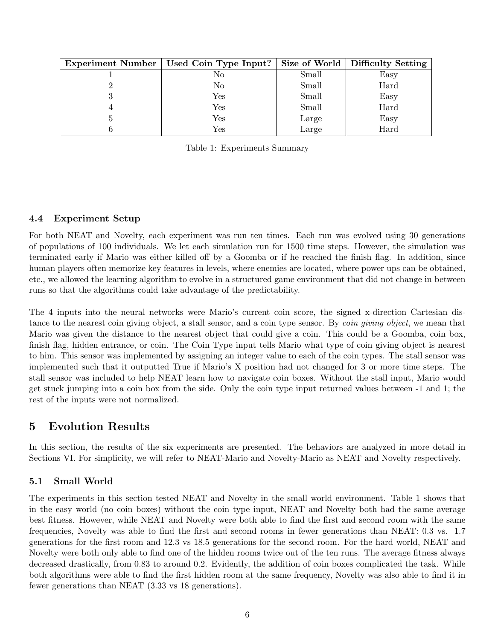| Experiment Number   Used Coin Type Input? |       | Size of World   Difficulty Setting |
|-------------------------------------------|-------|------------------------------------|
| No                                        | Small | Easy                               |
| No                                        | Small | Hard                               |
| $\operatorname{Yes}$                      | Small | Easy                               |
| $\operatorname{Yes}$                      | Small | Hard                               |
| Yes                                       | Large | Easy                               |
| Yes                                       | Large | Hard                               |

Table 1: Experiments Summary

#### 4.4 Experiment Setup

For both NEAT and Novelty, each experiment was run ten times. Each run was evolved using 30 generations of populations of 100 individuals. We let each simulation run for 1500 time steps. However, the simulation was terminated early if Mario was either killed off by a Goomba or if he reached the finish flag. In addition, since human players often memorize key features in levels, where enemies are located, where power ups can be obtained, etc., we allowed the learning algorithm to evolve in a structured game environment that did not change in between runs so that the algorithms could take advantage of the predictability.

The 4 inputs into the neural networks were Mario's current coin score, the signed x-direction Cartesian distance to the nearest coin giving object, a stall sensor, and a coin type sensor. By *coin giving object*, we mean that Mario was given the distance to the nearest object that could give a coin. This could be a Goomba, coin box, finish flag, hidden entrance, or coin. The Coin Type input tells Mario what type of coin giving object is nearest to him. This sensor was implemented by assigning an integer value to each of the coin types. The stall sensor was implemented such that it outputted True if Mario's X position had not changed for 3 or more time steps. The stall sensor was included to help NEAT learn how to navigate coin boxes. Without the stall input, Mario would get stuck jumping into a coin box from the side. Only the coin type input returned values between -1 and 1; the rest of the inputs were not normalized.

#### 5 Evolution Results

In this section, the results of the six experiments are presented. The behaviors are analyzed in more detail in Sections VI. For simplicity, we will refer to NEAT-Mario and Novelty-Mario as NEAT and Novelty respectively.

#### 5.1 Small World

The experiments in this section tested NEAT and Novelty in the small world environment. Table 1 shows that in the easy world (no coin boxes) without the coin type input, NEAT and Novelty both had the same average best fitness. However, while NEAT and Novelty were both able to find the first and second room with the same frequencies, Novelty was able to find the first and second rooms in fewer generations than NEAT: 0.3 vs. 1.7 generations for the first room and 12.3 vs 18.5 generations for the second room. For the hard world, NEAT and Novelty were both only able to find one of the hidden rooms twice out of the ten runs. The average fitness always decreased drastically, from 0.83 to around 0.2. Evidently, the addition of coin boxes complicated the task. While both algorithms were able to find the first hidden room at the same frequency, Novelty was also able to find it in fewer generations than NEAT (3.33 vs 18 generations).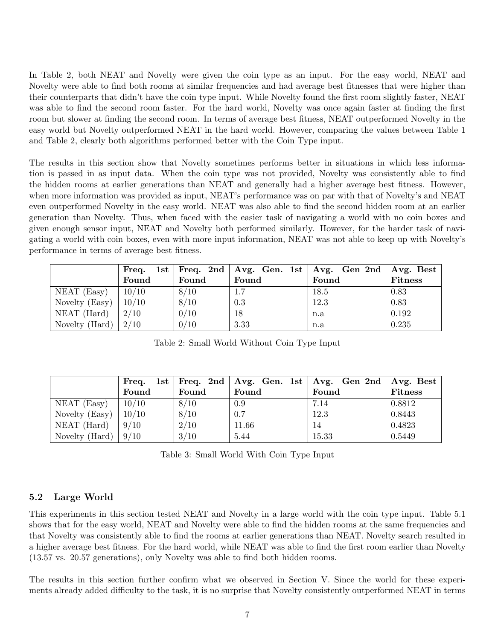In Table 2, both NEAT and Novelty were given the coin type as an input. For the easy world, NEAT and Novelty were able to find both rooms at similar frequencies and had average best fitnesses that were higher than their counterparts that didn't have the coin type input. While Novelty found the first room slightly faster, NEAT was able to find the second room faster. For the hard world, Novelty was once again faster at finding the first room but slower at finding the second room. In terms of average best fitness, NEAT outperformed Novelty in the easy world but Novelty outperformed NEAT in the hard world. However, comparing the values between Table 1 and Table 2, clearly both algorithms performed better with the Coin Type input.

The results in this section show that Novelty sometimes performs better in situations in which less information is passed in as input data. When the coin type was not provided, Novelty was consistently able to find the hidden rooms at earlier generations than NEAT and generally had a higher average best fitness. However, when more information was provided as input, NEAT's performance was on par with that of Novelty's and NEAT even outperformed Novelty in the easy world. NEAT was also able to find the second hidden room at an earlier generation than Novelty. Thus, when faced with the easier task of navigating a world with no coin boxes and given enough sensor input, NEAT and Novelty both performed similarly. However, for the harder task of navigating a world with coin boxes, even with more input information, NEAT was not able to keep up with Novelty's performance in terms of average best fitness.

|                              | Freq. |       |       | 1st   Freq. 2nd   Avg. Gen. 1st   Avg. Gen 2nd   Avg. Best |                |
|------------------------------|-------|-------|-------|------------------------------------------------------------|----------------|
|                              | Found | Found | Found | Found                                                      | <b>Fitness</b> |
| $NEAT$ (Easy)                | 10/10 | 8/10  | 1.7   | 18.5                                                       | 0.83           |
| Novelty (Easy)               | 10/10 | 8/10  | 0.3   | 12.3                                                       | 0.83           |
| NEAT (Hard)                  | 2/10  | 0/10  | 18    | n.a                                                        | 0.192          |
| $\mid$ Novelty (Hard) $\mid$ | 2/10  | 0/10  | 3.33  | n.a                                                        | 0.235          |

Table 2: Small World Without Coin Type Input

|                | Freq. |       | 1st   Freq. 2nd   Avg. Gen. 1st   Avg. Gen 2nd   Avg. Best |       |                |
|----------------|-------|-------|------------------------------------------------------------|-------|----------------|
|                | Found | Found | Found                                                      | Found | <b>Fitness</b> |
| $NEAT$ (Easy)  | 10/10 | 8/10  | 0.9                                                        | 7.14  | 0.8812         |
| Novelty (Easy) | 10/10 | 8/10  | 0.7                                                        | 12.3  | 0.8443         |
| $NEAT$ (Hard)  | 9/10  | 2/10  | 11.66                                                      | 14    | 0.4823         |
| Novelty (Hard) | 9/10  | 3/10  | 5.44                                                       | 15.33 | 0.5449         |

Table 3: Small World With Coin Type Input

#### 5.2 Large World

This experiments in this section tested NEAT and Novelty in a large world with the coin type input. Table 5.1 shows that for the easy world, NEAT and Novelty were able to find the hidden rooms at the same frequencies and that Novelty was consistently able to find the rooms at earlier generations than NEAT. Novelty search resulted in a higher average best fitness. For the hard world, while NEAT was able to find the first room earlier than Novelty (13.57 vs. 20.57 generations), only Novelty was able to find both hidden rooms.

The results in this section further confirm what we observed in Section V. Since the world for these experiments already added difficulty to the task, it is no surprise that Novelty consistently outperformed NEAT in terms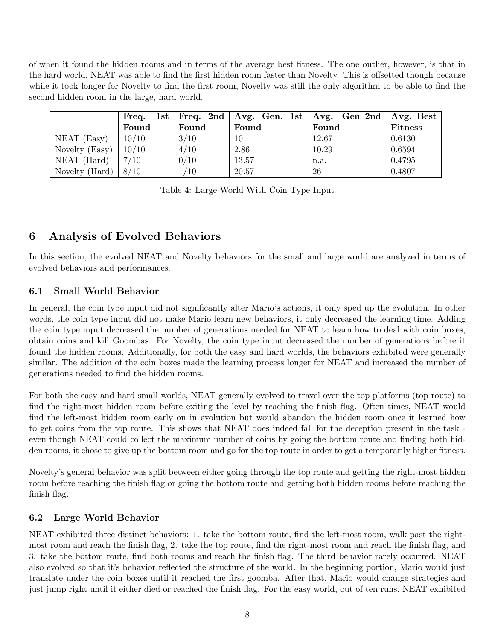of when it found the hidden rooms and in terms of the average best fitness. The one outlier, however, is that in the hard world, NEAT was able to find the first hidden room faster than Novelty. This is offsetted though because while it took longer for Novelty to find the first room, Novelty was still the only algorithm to be able to find the second hidden room in the large, hard world.

|                        | Freq. |       |       | 1st   Freq. 2nd   Avg. Gen. 1st   Avg. Gen 2nd   Avg. Best |                |
|------------------------|-------|-------|-------|------------------------------------------------------------|----------------|
|                        | Found | Found | Found | Found                                                      | <b>Fitness</b> |
| $NEAT$ (Easy)          | 10/10 | 3/10  | 10    | 12.67                                                      | 0.6130         |
| Novelty (Easy)         | 10/10 | 4/10  | 2.86  | 10.29                                                      | 0.6594         |
| $NEAT$ (Hard)          | 7/10  | 0/10  | 13.57 | n.a.                                                       | 0.4795         |
| Novelty (Hard) $\vert$ | 8/10  | 1/10  | 20.57 | 26                                                         | 0.4807         |

Table 4: Large World With Coin Type Input

# 6 Analysis of Evolved Behaviors

In this section, the evolved NEAT and Novelty behaviors for the small and large world are analyzed in terms of evolved behaviors and performances.

### 6.1 Small World Behavior

In general, the coin type input did not significantly alter Mario's actions, it only sped up the evolution. In other words, the coin type input did not make Mario learn new behaviors, it only decreased the learning time. Adding the coin type input decreased the number of generations needed for NEAT to learn how to deal with coin boxes, obtain coins and kill Goombas. For Novelty, the coin type input decreased the number of generations before it found the hidden rooms. Additionally, for both the easy and hard worlds, the behaviors exhibited were generally similar. The addition of the coin boxes made the learning process longer for NEAT and increased the number of generations needed to find the hidden rooms.

For both the easy and hard small worlds, NEAT generally evolved to travel over the top platforms (top route) to find the right-most hidden room before exiting the level by reaching the finish flag. Often times, NEAT would find the left-most hidden room early on in evolution but would abandon the hidden room once it learned how to get coins from the top route. This shows that NEAT does indeed fall for the deception present in the task even though NEAT could collect the maximum number of coins by going the bottom route and finding both hidden rooms, it chose to give up the bottom room and go for the top route in order to get a temporarily higher fitness.

Novelty's general behavior was split between either going through the top route and getting the right-most hidden room before reaching the finish flag or going the bottom route and getting both hidden rooms before reaching the finish flag.

#### 6.2 Large World Behavior

NEAT exhibited three distinct behaviors: 1. take the bottom route, find the left-most room, walk past the rightmost room and reach the finish flag, 2. take the top route, find the right-most room and reach the finish flag, and 3. take the bottom route, find both rooms and reach the finish flag. The third behavior rarely occurred. NEAT also evolved so that it's behavior reflected the structure of the world. In the beginning portion, Mario would just translate under the coin boxes until it reached the first goomba. After that, Mario would change strategies and just jump right until it either died or reached the finish flag. For the easy world, out of ten runs, NEAT exhibited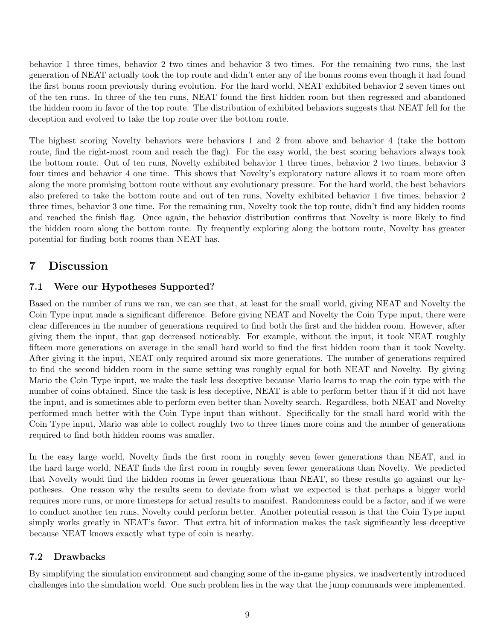behavior 1 three times, behavior 2 two times and behavior 3 two times. For the remaining two runs, the last generation of NEAT actually took the top route and didn't enter any of the bonus rooms even though it had found the first bonus room previously during evolution. For the hard world, NEAT exhibited behavior 2 seven times out of the ten runs. In three of the ten runs, NEAT found the first hidden room but then regressed and abandoned the hidden room in favor of the top route. The distribution of exhibited behaviors suggests that NEAT fell for the deception and evolved to take the top route over the bottom route.

The highest scoring Novelty behaviors were behaviors 1 and 2 from above and behavior 4 (take the bottom route, find the right-most room and reach the flag). For the easy world, the best scoring behaviors always took the bottom route. Out of ten runs, Novelty exhibited behavior 1 three times, behavior 2 two times, behavior 3 four times and behavior 4 one time. This shows that Novelty's exploratory nature allows it to roam more often along the more promising bottom route without any evolutionary pressure. For the hard world, the best behaviors also prefered to take the bottom route and out of ten runs, Novelty exhibited behavior 1 five times, behavior 2 three times, behavior 3 one time. For the remaining run, Novelty took the top route, didn't find any hidden rooms and reached the finish flag. Once again, the behavior distribution confirms that Novelty is more likely to find the hidden room along the bottom route. By frequently exploring along the bottom route, Novelty has greater potential for finding both rooms than NEAT has.

## 7 Discussion

### 7.1 Were our Hypotheses Supported?

Based on the number of runs we ran, we can see that, at least for the small world, giving NEAT and Novelty the Coin Type input made a significant difference. Before giving NEAT and Novelty the Coin Type input, there were clear differences in the number of generations required to find both the first and the hidden room. However, after giving them the input, that gap decreased noticeably. For example, without the input, it took NEAT roughly fifteen more generations on average in the small hard world to find the first hidden room than it took Novelty. After giving it the input, NEAT only required around six more generations. The number of generations required to find the second hidden room in the same setting was roughly equal for both NEAT and Novelty. By giving Mario the Coin Type input, we make the task less deceptive because Mario learns to map the coin type with the number of coins obtained. Since the task is less deceptive, NEAT is able to perform better than if it did not have the input, and is sometimes able to perform even better than Novelty search. Regardless, both NEAT and Novelty performed much better with the Coin Type input than without. Specifically for the small hard world with the Coin Type input, Mario was able to collect roughly two to three times more coins and the number of generations required to find both hidden rooms was smaller.

In the easy large world, Novelty finds the first room in roughly seven fewer generations than NEAT, and in the hard large world, NEAT finds the first room in roughly seven fewer generations than Novelty. We predicted that Novelty would find the hidden rooms in fewer generations than NEAT, so these results go against our hypotheses. One reason why the results seem to deviate from what we expected is that perhaps a bigger world requires more runs, or more timesteps for actual results to manifest. Randomness could be a factor, and if we were to conduct another ten runs, Novelty could perform better. Another potential reason is that the Coin Type input simply works greatly in NEAT's favor. That extra bit of information makes the task significantly less deceptive because NEAT knows exactly what type of coin is nearby.

#### 7.2 Drawbacks

By simplifying the simulation environment and changing some of the in-game physics, we inadvertently introduced challenges into the simulation world. One such problem lies in the way that the jump commands were implemented.